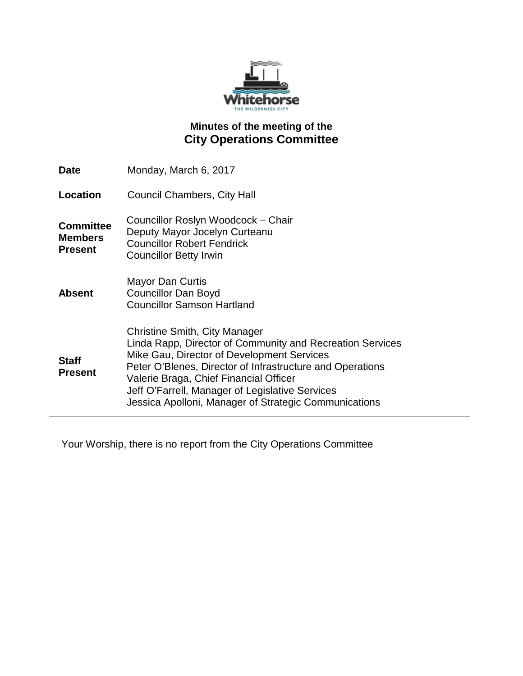

## **Minutes of the meeting of the City Operations Committee**

| Date                                                 | Monday, March 6, 2017                                                                                                                                                                                                                                                                                                                                       |
|------------------------------------------------------|-------------------------------------------------------------------------------------------------------------------------------------------------------------------------------------------------------------------------------------------------------------------------------------------------------------------------------------------------------------|
| <b>Location</b>                                      | <b>Council Chambers, City Hall</b>                                                                                                                                                                                                                                                                                                                          |
| <b>Committee</b><br><b>Members</b><br><b>Present</b> | Councillor Roslyn Woodcock - Chair<br>Deputy Mayor Jocelyn Curteanu<br><b>Councillor Robert Fendrick</b><br><b>Councillor Betty Irwin</b>                                                                                                                                                                                                                   |
| <b>Absent</b>                                        | Mayor Dan Curtis<br><b>Councillor Dan Boyd</b><br><b>Councillor Samson Hartland</b>                                                                                                                                                                                                                                                                         |
| <b>Staff</b><br><b>Present</b>                       | Christine Smith, City Manager<br>Linda Rapp, Director of Community and Recreation Services<br>Mike Gau, Director of Development Services<br>Peter O'Blenes, Director of Infrastructure and Operations<br>Valerie Braga, Chief Financial Officer<br>Jeff O'Farrell, Manager of Legislative Services<br>Jessica Apolloni, Manager of Strategic Communications |

Your Worship, there is no report from the City Operations Committee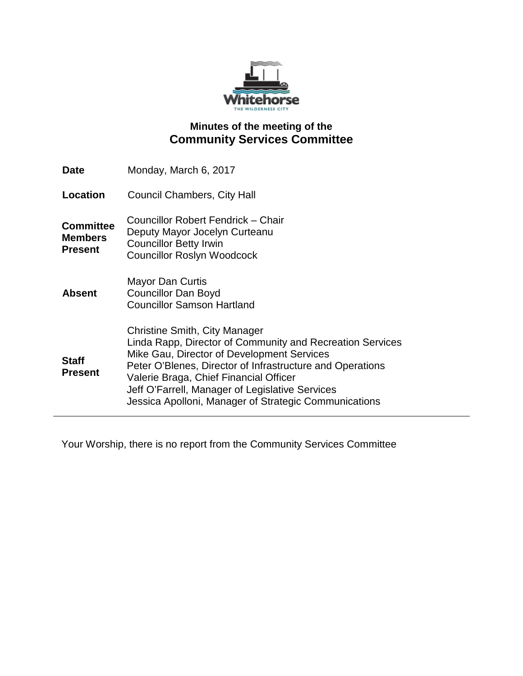

## **Minutes of the meeting of the Community Services Committee**

| <b>Date</b>                                          | Monday, March 6, 2017                                                                                                                                                                                                                                                                                                                                       |
|------------------------------------------------------|-------------------------------------------------------------------------------------------------------------------------------------------------------------------------------------------------------------------------------------------------------------------------------------------------------------------------------------------------------------|
| Location                                             | <b>Council Chambers, City Hall</b>                                                                                                                                                                                                                                                                                                                          |
| <b>Committee</b><br><b>Members</b><br><b>Present</b> | Councillor Robert Fendrick - Chair<br>Deputy Mayor Jocelyn Curteanu<br><b>Councillor Betty Irwin</b><br><b>Councillor Roslyn Woodcock</b>                                                                                                                                                                                                                   |
| <b>Absent</b>                                        | <b>Mayor Dan Curtis</b><br><b>Councillor Dan Boyd</b><br><b>Councillor Samson Hartland</b>                                                                                                                                                                                                                                                                  |
| <b>Staff</b><br><b>Present</b>                       | Christine Smith, City Manager<br>Linda Rapp, Director of Community and Recreation Services<br>Mike Gau, Director of Development Services<br>Peter O'Blenes, Director of Infrastructure and Operations<br>Valerie Braga, Chief Financial Officer<br>Jeff O'Farrell, Manager of Legislative Services<br>Jessica Apolloni, Manager of Strategic Communications |

Your Worship, there is no report from the Community Services Committee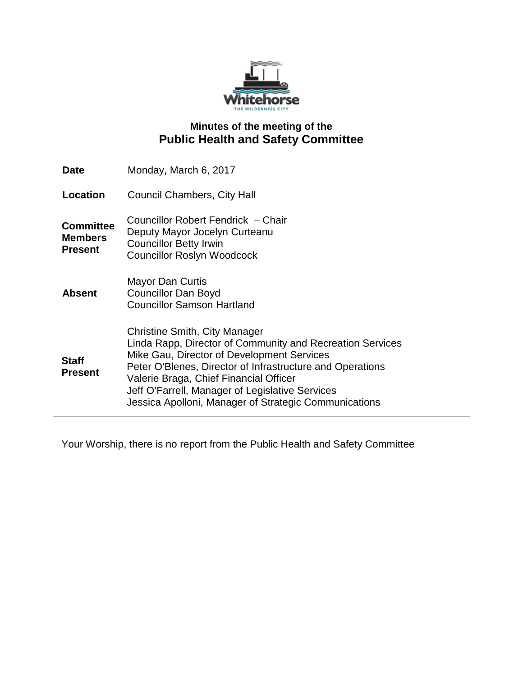

# **Minutes of the meeting of the Public Health and Safety Committee**

| <b>Date</b>                                          | Monday, March 6, 2017                                                                                                                                                                                                                                                                                                                                       |
|------------------------------------------------------|-------------------------------------------------------------------------------------------------------------------------------------------------------------------------------------------------------------------------------------------------------------------------------------------------------------------------------------------------------------|
| <b>Location</b>                                      | <b>Council Chambers, City Hall</b>                                                                                                                                                                                                                                                                                                                          |
| <b>Committee</b><br><b>Members</b><br><b>Present</b> | Councillor Robert Fendrick - Chair<br>Deputy Mayor Jocelyn Curteanu<br><b>Councillor Betty Irwin</b><br><b>Councillor Roslyn Woodcock</b>                                                                                                                                                                                                                   |
| <b>Absent</b>                                        | Mayor Dan Curtis<br><b>Councillor Dan Boyd</b><br><b>Councillor Samson Hartland</b>                                                                                                                                                                                                                                                                         |
| <b>Staff</b><br><b>Present</b>                       | Christine Smith, City Manager<br>Linda Rapp, Director of Community and Recreation Services<br>Mike Gau, Director of Development Services<br>Peter O'Blenes, Director of Infrastructure and Operations<br>Valerie Braga, Chief Financial Officer<br>Jeff O'Farrell, Manager of Legislative Services<br>Jessica Apolloni, Manager of Strategic Communications |

Your Worship, there is no report from the Public Health and Safety Committee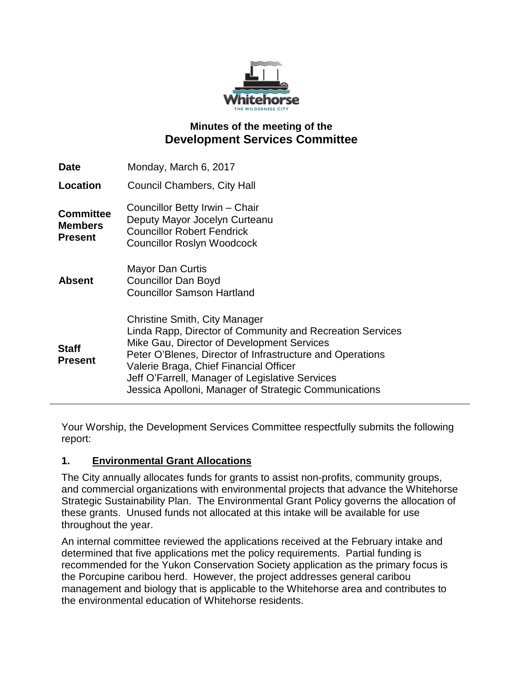

## **Minutes of the meeting of the Development Services Committee**

| <b>Date</b>                                          | Monday, March 6, 2017                                                                                                                                                                                                                                                                                                                                              |
|------------------------------------------------------|--------------------------------------------------------------------------------------------------------------------------------------------------------------------------------------------------------------------------------------------------------------------------------------------------------------------------------------------------------------------|
| Location                                             | <b>Council Chambers, City Hall</b>                                                                                                                                                                                                                                                                                                                                 |
| <b>Committee</b><br><b>Members</b><br><b>Present</b> | Councillor Betty Irwin - Chair<br>Deputy Mayor Jocelyn Curteanu<br><b>Councillor Robert Fendrick</b><br><b>Councillor Roslyn Woodcock</b>                                                                                                                                                                                                                          |
| <b>Absent</b>                                        | <b>Mayor Dan Curtis</b><br><b>Councillor Dan Boyd</b><br><b>Councillor Samson Hartland</b>                                                                                                                                                                                                                                                                         |
| <b>Staff</b><br><b>Present</b>                       | <b>Christine Smith, City Manager</b><br>Linda Rapp, Director of Community and Recreation Services<br>Mike Gau, Director of Development Services<br>Peter O'Blenes, Director of Infrastructure and Operations<br>Valerie Braga, Chief Financial Officer<br>Jeff O'Farrell, Manager of Legislative Services<br>Jessica Apolloni, Manager of Strategic Communications |

Your Worship, the Development Services Committee respectfully submits the following report:

## **1. Environmental Grant Allocations**

The City annually allocates funds for grants to assist non-profits, community groups, and commercial organizations with environmental projects that advance the Whitehorse Strategic Sustainability Plan. The Environmental Grant Policy governs the allocation of these grants. Unused funds not allocated at this intake will be available for use throughout the year.

An internal committee reviewed the applications received at the February intake and determined that five applications met the policy requirements. Partial funding is recommended for the Yukon Conservation Society application as the primary focus is the Porcupine caribou herd. However, the project addresses general caribou management and biology that is applicable to the Whitehorse area and contributes to the environmental education of Whitehorse residents.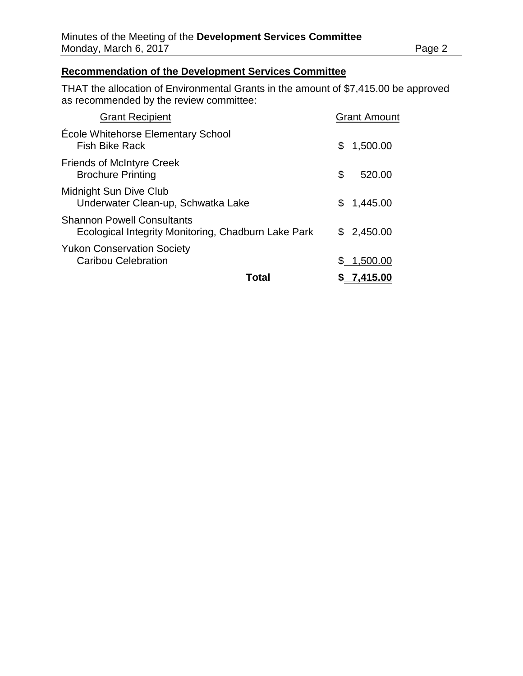### **Recommendation of the Development Services Committee**

THAT the allocation of Environmental Grants in the amount of \$7,415.00 be approved as recommended by the review committee:

| <b>Grant Recipient</b>                                                                   | <b>Grant Amount</b> |
|------------------------------------------------------------------------------------------|---------------------|
| <b>École Whitehorse Elementary School</b><br><b>Fish Bike Rack</b>                       | \$<br>1,500.00      |
| <b>Friends of McIntyre Creek</b><br><b>Brochure Printing</b>                             | \$<br>520.00        |
| Midnight Sun Dive Club<br>Underwater Clean-up, Schwatka Lake                             | \$1,445.00          |
| <b>Shannon Powell Consultants</b><br>Ecological Integrity Monitoring, Chadburn Lake Park | \$2,450.00          |
| <b>Yukon Conservation Society</b><br>Caribou Celebration                                 | \$1,500.00          |
| Total                                                                                    | <u>\$7,415.00</u>   |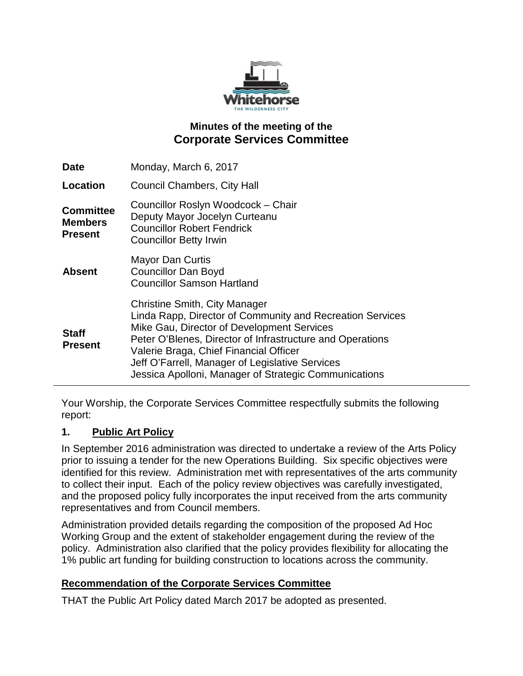

## **Minutes of the meeting of the Corporate Services Committee**

| <b>Date</b>                                          | Monday, March 6, 2017                                                                                                                                                                                                                                                                                                                                              |
|------------------------------------------------------|--------------------------------------------------------------------------------------------------------------------------------------------------------------------------------------------------------------------------------------------------------------------------------------------------------------------------------------------------------------------|
| Location                                             | <b>Council Chambers, City Hall</b>                                                                                                                                                                                                                                                                                                                                 |
| <b>Committee</b><br><b>Members</b><br><b>Present</b> | Councillor Roslyn Woodcock - Chair<br>Deputy Mayor Jocelyn Curteanu<br><b>Councillor Robert Fendrick</b><br><b>Councillor Betty Irwin</b>                                                                                                                                                                                                                          |
| <b>Absent</b>                                        | Mayor Dan Curtis<br><b>Councillor Dan Boyd</b><br><b>Councillor Samson Hartland</b>                                                                                                                                                                                                                                                                                |
| <b>Staff</b><br><b>Present</b>                       | <b>Christine Smith, City Manager</b><br>Linda Rapp, Director of Community and Recreation Services<br>Mike Gau, Director of Development Services<br>Peter O'Blenes, Director of Infrastructure and Operations<br>Valerie Braga, Chief Financial Officer<br>Jeff O'Farrell, Manager of Legislative Services<br>Jessica Apolloni, Manager of Strategic Communications |

Your Worship, the Corporate Services Committee respectfully submits the following report:

## **1. Public Art Policy**

In September 2016 administration was directed to undertake a review of the Arts Policy prior to issuing a tender for the new Operations Building. Six specific objectives were identified for this review. Administration met with representatives of the arts community to collect their input. Each of the policy review objectives was carefully investigated, and the proposed policy fully incorporates the input received from the arts community representatives and from Council members.

Administration provided details regarding the composition of the proposed Ad Hoc Working Group and the extent of stakeholder engagement during the review of the policy. Administration also clarified that the policy provides flexibility for allocating the 1% public art funding for building construction to locations across the community.

## **Recommendation of the Corporate Services Committee**

THAT the Public Art Policy dated March 2017 be adopted as presented.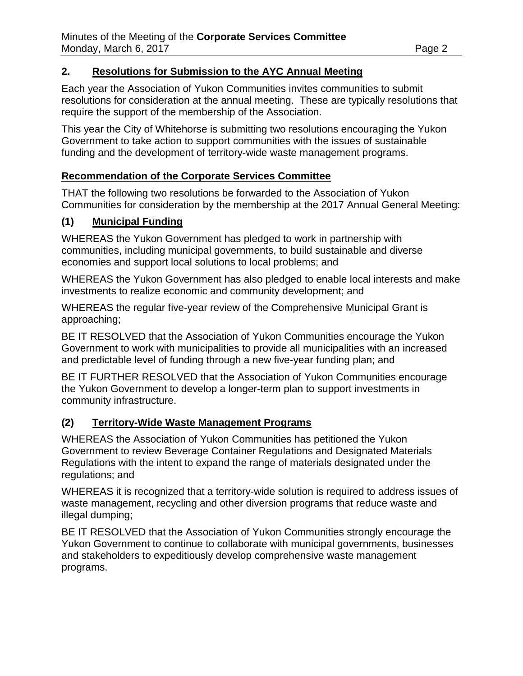## **2. Resolutions for Submission to the AYC Annual Meeting**

Each year the Association of Yukon Communities invites communities to submit resolutions for consideration at the annual meeting. These are typically resolutions that require the support of the membership of the Association.

This year the City of Whitehorse is submitting two resolutions encouraging the Yukon Government to take action to support communities with the issues of sustainable funding and the development of territory-wide waste management programs.

## **Recommendation of the Corporate Services Committee**

THAT the following two resolutions be forwarded to the Association of Yukon Communities for consideration by the membership at the 2017 Annual General Meeting:

## **(1) Municipal Funding**

WHEREAS the Yukon Government has pledged to work in partnership with communities, including municipal governments, to build sustainable and diverse economies and support local solutions to local problems; and

WHEREAS the Yukon Government has also pledged to enable local interests and make investments to realize economic and community development; and

WHEREAS the regular five-year review of the Comprehensive Municipal Grant is approaching;

BE IT RESOLVED that the Association of Yukon Communities encourage the Yukon Government to work with municipalities to provide all municipalities with an increased and predictable level of funding through a new five-year funding plan; and

BE IT FURTHER RESOLVED that the Association of Yukon Communities encourage the Yukon Government to develop a longer-term plan to support investments in community infrastructure.

## **(2) Territory-Wide Waste Management Programs**

WHEREAS the Association of Yukon Communities has petitioned the Yukon Government to review Beverage Container Regulations and Designated Materials Regulations with the intent to expand the range of materials designated under the regulations; and

WHEREAS it is recognized that a territory-wide solution is required to address issues of waste management, recycling and other diversion programs that reduce waste and illegal dumping;

BE IT RESOLVED that the Association of Yukon Communities strongly encourage the Yukon Government to continue to collaborate with municipal governments, businesses and stakeholders to expeditiously develop comprehensive waste management programs.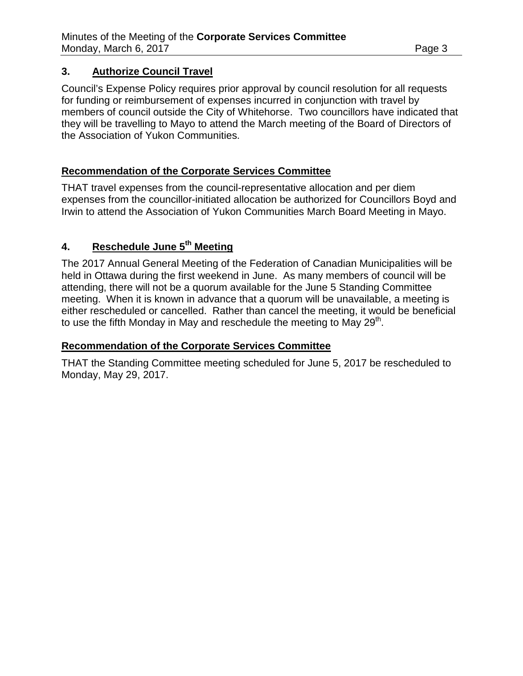### **3. Authorize Council Travel**

Council's Expense Policy requires prior approval by council resolution for all requests for funding or reimbursement of expenses incurred in conjunction with travel by members of council outside the City of Whitehorse. Two councillors have indicated that they will be travelling to Mayo to attend the March meeting of the Board of Directors of the Association of Yukon Communities.

## **Recommendation of the Corporate Services Committee**

THAT travel expenses from the council-representative allocation and per diem expenses from the councillor-initiated allocation be authorized for Councillors Boyd and Irwin to attend the Association of Yukon Communities March Board Meeting in Mayo.

## **4. Reschedule June 5th Meeting**

The 2017 Annual General Meeting of the Federation of Canadian Municipalities will be held in Ottawa during the first weekend in June. As many members of council will be attending, there will not be a quorum available for the June 5 Standing Committee meeting. When it is known in advance that a quorum will be unavailable, a meeting is either rescheduled or cancelled. Rather than cancel the meeting, it would be beneficial to use the fifth Monday in May and reschedule the meeting to May  $29<sup>th</sup>$ .

#### **Recommendation of the Corporate Services Committee**

THAT the Standing Committee meeting scheduled for June 5, 2017 be rescheduled to Monday, May 29, 2017.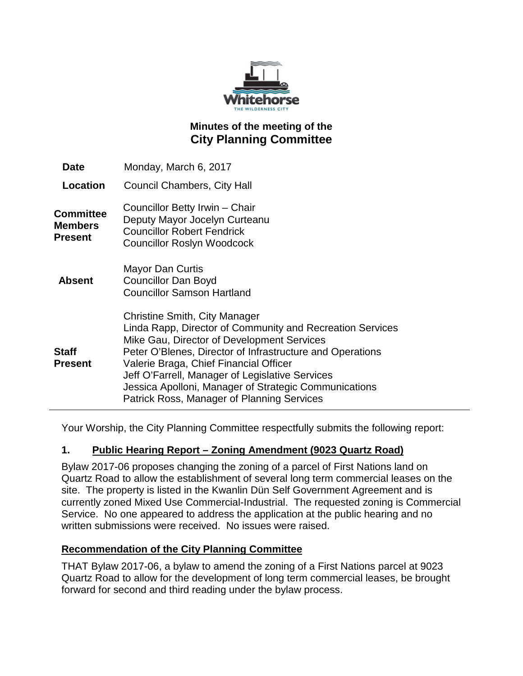

## **Minutes of the meeting of the City Planning Committee**

| <b>Date</b>                                          | Monday, March 6, 2017                                                                                                                                                                                                                                                                                                                                                                                     |
|------------------------------------------------------|-----------------------------------------------------------------------------------------------------------------------------------------------------------------------------------------------------------------------------------------------------------------------------------------------------------------------------------------------------------------------------------------------------------|
| Location                                             | <b>Council Chambers, City Hall</b>                                                                                                                                                                                                                                                                                                                                                                        |
| <b>Committee</b><br><b>Members</b><br><b>Present</b> | Councillor Betty Irwin - Chair<br>Deputy Mayor Jocelyn Curteanu<br><b>Councillor Robert Fendrick</b><br><b>Councillor Roslyn Woodcock</b>                                                                                                                                                                                                                                                                 |
| Absent                                               | Mayor Dan Curtis<br><b>Councillor Dan Boyd</b><br><b>Councillor Samson Hartland</b>                                                                                                                                                                                                                                                                                                                       |
| <b>Staff</b><br><b>Present</b>                       | Christine Smith, City Manager<br>Linda Rapp, Director of Community and Recreation Services<br>Mike Gau, Director of Development Services<br>Peter O'Blenes, Director of Infrastructure and Operations<br>Valerie Braga, Chief Financial Officer<br>Jeff O'Farrell, Manager of Legislative Services<br>Jessica Apolloni, Manager of Strategic Communications<br>Patrick Ross, Manager of Planning Services |

Your Worship, the City Planning Committee respectfully submits the following report:

## **1. Public Hearing Report – Zoning Amendment (9023 Quartz Road)**

Bylaw 2017-06 proposes changing the zoning of a parcel of First Nations land on Quartz Road to allow the establishment of several long term commercial leases on the site. The property is listed in the Kwanlin Dün Self Government Agreement and is currently zoned Mixed Use Commercial-Industrial. The requested zoning is Commercial Service. No one appeared to address the application at the public hearing and no written submissions were received. No issues were raised.

## **Recommendation of the City Planning Committee**

THAT Bylaw 2017-06, a bylaw to amend the zoning of a First Nations parcel at 9023 Quartz Road to allow for the development of long term commercial leases, be brought forward for second and third reading under the bylaw process.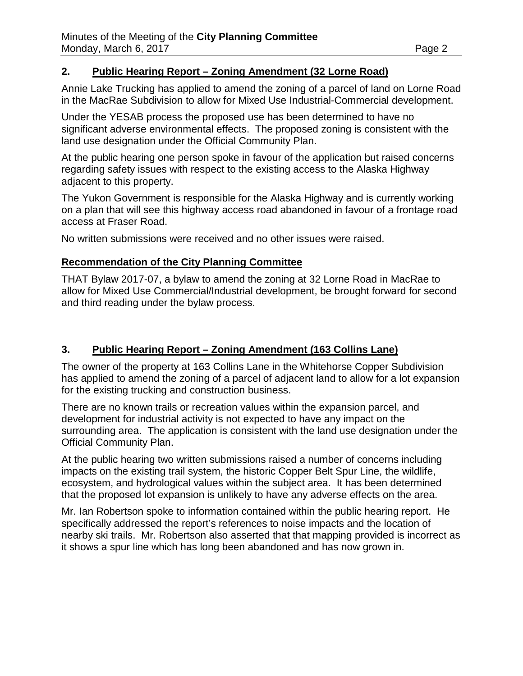## **2. Public Hearing Report – Zoning Amendment (32 Lorne Road)**

Annie Lake Trucking has applied to amend the zoning of a parcel of land on Lorne Road in the MacRae Subdivision to allow for Mixed Use Industrial-Commercial development.

Under the YESAB process the proposed use has been determined to have no significant adverse environmental effects. The proposed zoning is consistent with the land use designation under the Official Community Plan.

At the public hearing one person spoke in favour of the application but raised concerns regarding safety issues with respect to the existing access to the Alaska Highway adjacent to this property.

The Yukon Government is responsible for the Alaska Highway and is currently working on a plan that will see this highway access road abandoned in favour of a frontage road access at Fraser Road.

No written submissions were received and no other issues were raised.

#### **Recommendation of the City Planning Committee**

THAT Bylaw 2017-07, a bylaw to amend the zoning at 32 Lorne Road in MacRae to allow for Mixed Use Commercial/Industrial development, be brought forward for second and third reading under the bylaw process.

## **3. Public Hearing Report – Zoning Amendment (163 Collins Lane)**

The owner of the property at 163 Collins Lane in the Whitehorse Copper Subdivision has applied to amend the zoning of a parcel of adjacent land to allow for a lot expansion for the existing trucking and construction business.

There are no known trails or recreation values within the expansion parcel, and development for industrial activity is not expected to have any impact on the surrounding area. The application is consistent with the land use designation under the Official Community Plan.

At the public hearing two written submissions raised a number of concerns including impacts on the existing trail system, the historic Copper Belt Spur Line, the wildlife, ecosystem, and hydrological values within the subject area. It has been determined that the proposed lot expansion is unlikely to have any adverse effects on the area.

Mr. Ian Robertson spoke to information contained within the public hearing report. He specifically addressed the report's references to noise impacts and the location of nearby ski trails. Mr. Robertson also asserted that that mapping provided is incorrect as it shows a spur line which has long been abandoned and has now grown in.